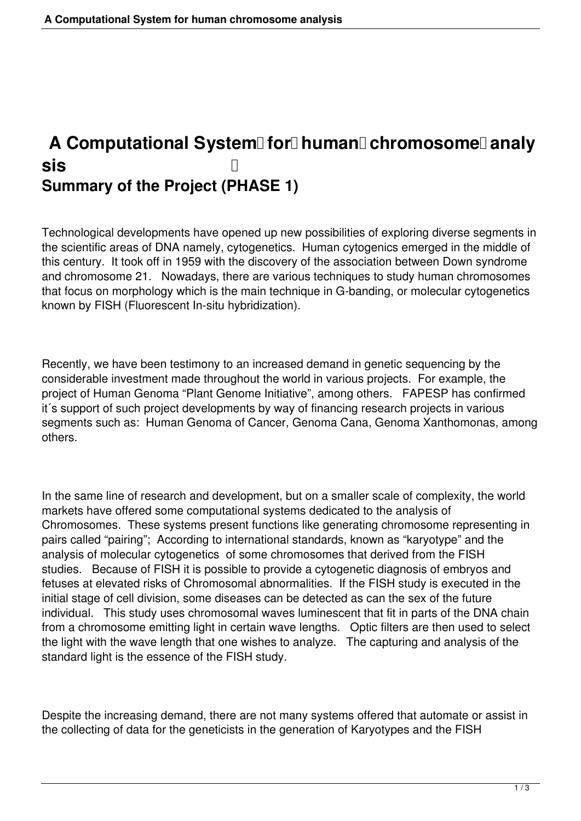## A Computational System<sup>[]</sup> for human chromosome analy **sis Summary of the Project (PHASE 1)**

Technological developments have opened up new possibilities of exploring diverse segments in the scientific areas of DNA namely, cytogenetics. Human cytogenics emerged in the middle of this century. It took off in 1959 with the discovery of the association between Down syndrome and chromosome 21. Nowadays, there are various techniques to study human chromosomes that focus on morphology which is the main technique in G-banding, or molecular cytogenetics known by FISH (Fluorescent In-situ hybridization).

Recently, we have been testimony to an increased demand in genetic sequencing by the considerable investment made throughout the world in various projects. For example, the project of Human Genoma "Plant Genome Initiative", among others. FAPESP has confirmed it´s support of such project developments by way of financing research projects in various segments such as: Human Genoma of Cancer, Genoma Cana, Genoma Xanthomonas, among others.

In the same line of research and development, but on a smaller scale of complexity, the world markets have offered some computational systems dedicated to the analysis of Chromosomes. These systems present functions like generating chromosome representing in pairs called "pairing"; According to international standards, known as "karyotype" and the analysis of molecular cytogenetics of some chromosomes that derived from the FISH studies. Because of FISH it is possible to provide a cytogenetic diagnosis of embryos and fetuses at elevated risks of Chromosomal abnormalities. If the FISH study is executed in the initial stage of cell division, some diseases can be detected as can the sex of the future individual. This study uses chromosomal waves luminescent that fit in parts of the DNA chain from a chromosome emitting light in certain wave lengths. Optic filters are then used to select the light with the wave length that one wishes to analyze. The capturing and analysis of the standard light is the essence of the FISH study.

Despite the increasing demand, there are not many systems offered that automate or assist in the collecting of data for the geneticists in the generation of Karyotypes and the FISH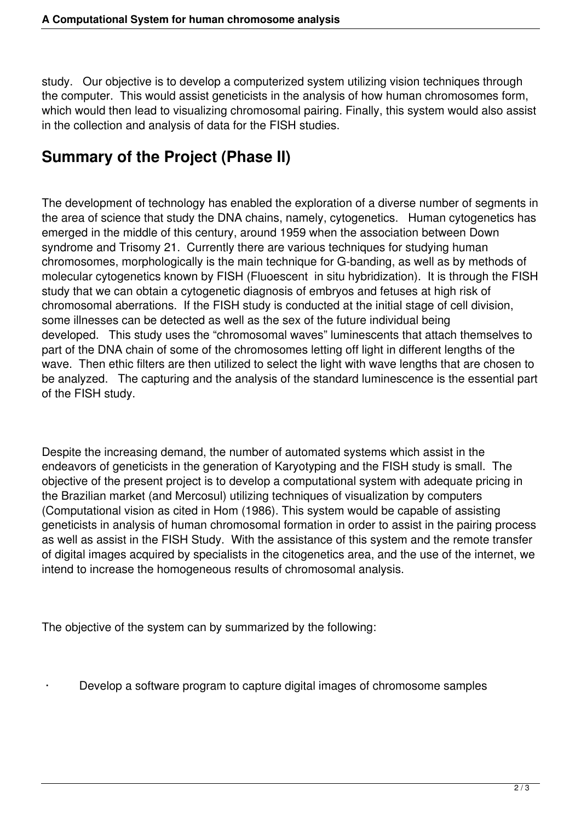study. Our objective is to develop a computerized system utilizing vision techniques through the computer. This would assist geneticists in the analysis of how human chromosomes form, which would then lead to visualizing chromosomal pairing. Finally, this system would also assist in the collection and analysis of data for the FISH studies.

## **Summary of the Project (Phase II)**

The development of technology has enabled the exploration of a diverse number of segments in the area of science that study the DNA chains, namely, cytogenetics. Human cytogenetics has emerged in the middle of this century, around 1959 when the association between Down syndrome and Trisomy 21. Currently there are various techniques for studying human chromosomes, morphologically is the main technique for G-banding, as well as by methods of molecular cytogenetics known by FISH (Fluoescent in situ hybridization). It is through the FISH study that we can obtain a cytogenetic diagnosis of embryos and fetuses at high risk of chromosomal aberrations. If the FISH study is conducted at the initial stage of cell division, some illnesses can be detected as well as the sex of the future individual being developed. This study uses the "chromosomal waves" luminescents that attach themselves to part of the DNA chain of some of the chromosomes letting off light in different lengths of the wave. Then ethic filters are then utilized to select the light with wave lengths that are chosen to be analyzed. The capturing and the analysis of the standard luminescence is the essential part of the FISH study.

Despite the increasing demand, the number of automated systems which assist in the endeavors of geneticists in the generation of Karyotyping and the FISH study is small. The objective of the present project is to develop a computational system with adequate pricing in the Brazilian market (and Mercosul) utilizing techniques of visualization by computers (Computational vision as cited in Hom (1986). This system would be capable of assisting geneticists in analysis of human chromosomal formation in order to assist in the pairing process as well as assist in the FISH Study. With the assistance of this system and the remote transfer of digital images acquired by specialists in the citogenetics area, and the use of the internet, we intend to increase the homogeneous results of chromosomal analysis.

The objective of the system can by summarized by the following:

Develop a software program to capture digital images of chromosome samples